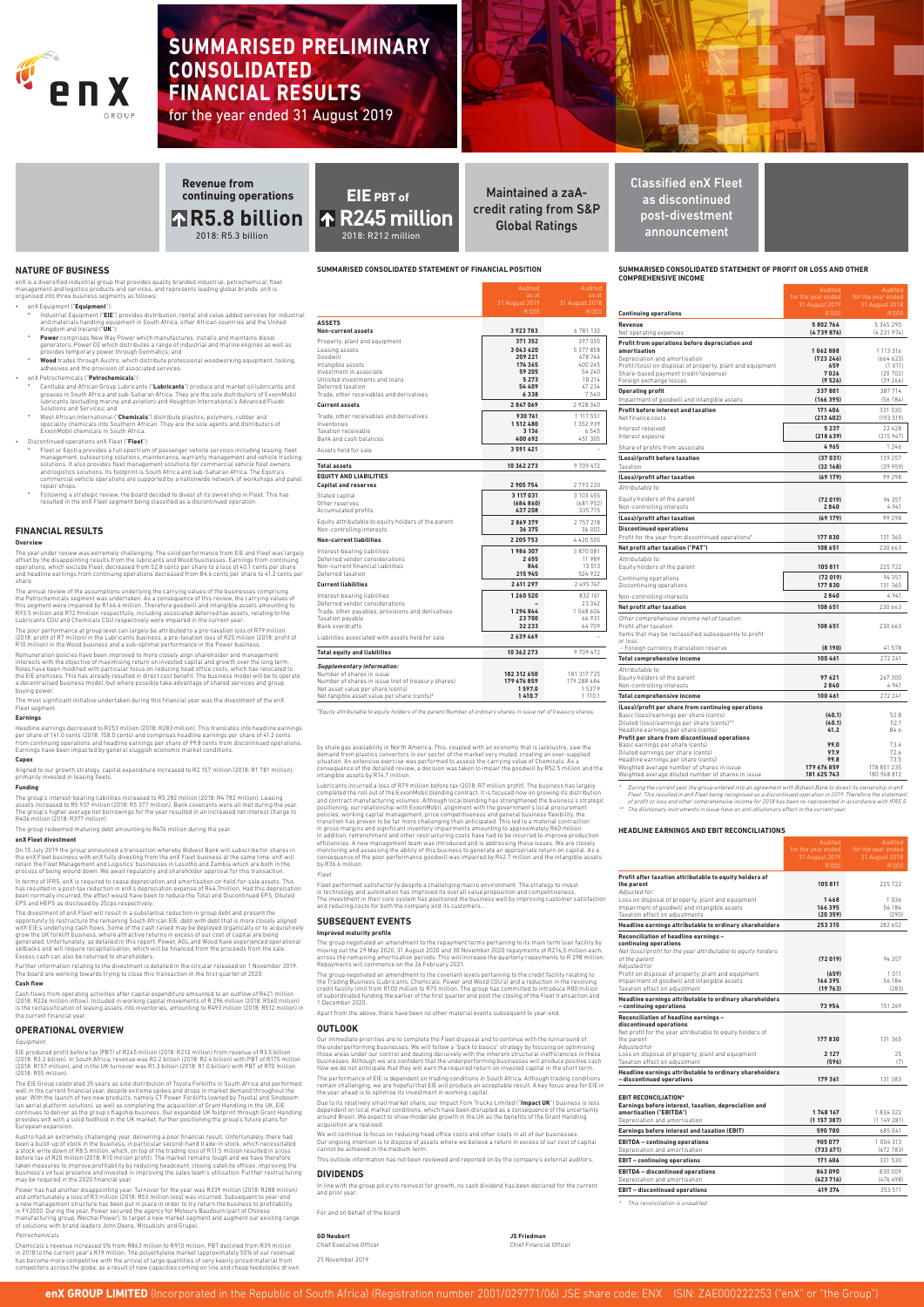#### **SUMMARISED CONSOLIDATED STATEMENT OF PROFIT OR LOSS AND OTHER COMPREHENSIVE INCOME**

The dilutionary instruments in issue have an anti-dilutionary effect in the current year.

**NATURE OF BUSINESS** 

enX is a diversified industrial group that provides quality branded industrial, petrochemical, fleet management and logistics products and services, and represents leading global brands. enX is organised into three business segments as follows:

- enX Equipment ("**Equipment**"):
- " Industrial Equipment ("**EIE**") provides distribution, rental and value added services for industrial<br>and materials handling equipment in South Africa, other African countries and the United<br>Kingdom and Ireland ("**UK**");
- Power comprises New Way Power which manufactures, installs and maintains diesel<br>generators, Power O2 which distributes a range of industrial and marine engines as well as<br>provides temporary power through Genmatics; and
- **Wood** trades through Austro, which distribute professional woodworking equipment, tooling adhesives and the provision of associated services.

#### • enX Petrochemicals ("**Petrochemicals**"):

- Centlube and African Group Lubricants ("**Lubricants**") produce and market oil lubricants and<br>greases in South Africa and sub-Saharan Africa. They are the sole distributors of ExxonMobil<br>lubricants (excluding marine and avi
- <sup>o</sup> West African International ("**Chemicals**") distribute plastics, polymers, rubber and<br>speciality chemicals into Southern African. They are the sole agents and distributors of<br>ExxonMobil chemicals in South Africa.

#### • Discontinued operations enX Fleet ("**Fleet**"):

- Fleet or Eqstra provides a full spectrum of passenger vehicle services including leasing, fleet<br>management, outsourcing solutions, maintenance, warranty management and vehicle tracking<br>solutions. It also provides fleet man commercial vehicle operations are supported by a nationwide network of workshops and panel commone.e<br>repair shops.
- Following a strategic review, the board decided to divest of its ownership in Fleet. This has resulted in the enX Fleet segment being classified as a discontinued operation.

|                                                                                                                                                                                                                                                                                                                                                        | as at<br>31 August 2019                                                 | as at<br>31 August 2018                                                |                                                                                                                                                                                                                                                                          | for the year ended<br>31 August 2019                   | for the year ended<br>31 August 2018                             |
|--------------------------------------------------------------------------------------------------------------------------------------------------------------------------------------------------------------------------------------------------------------------------------------------------------------------------------------------------------|-------------------------------------------------------------------------|------------------------------------------------------------------------|--------------------------------------------------------------------------------------------------------------------------------------------------------------------------------------------------------------------------------------------------------------------------|--------------------------------------------------------|------------------------------------------------------------------|
|                                                                                                                                                                                                                                                                                                                                                        | R'000                                                                   | R'000                                                                  | <b>Continuing operations</b>                                                                                                                                                                                                                                             | R'000                                                  | R'000                                                            |
| <b>ASSETS</b><br>Non-current assets                                                                                                                                                                                                                                                                                                                    | 3923783                                                                 | 6781132                                                                | Revenue<br>Net operating expenses                                                                                                                                                                                                                                        | 5802764<br>(4739876)                                   | 5 345 290<br>(4231974)                                           |
| Property, plant and equipment<br>Leasing assets<br>Goodwill<br>Intangible assets<br>Investment in associate<br>Unlisted investments and loans<br>Deferred taxation                                                                                                                                                                                     | 371 352<br>3043620<br>209 221<br>174 365<br>59 205<br>5 2 7 3<br>54 409 | 397 055<br>5377858<br>478 746<br>400 245<br>54 240<br>18 214<br>47 234 | Profit from operations before depreciation and<br>amortisation<br>Depreciation and amortisation<br>Profit/(loss) on disposal of property, plant and equipment<br>Share-based payment credit/(expense)<br>Foreign exchange losses<br><b>Operating profit</b>              | 1062888<br>(723246)<br>659<br>7026<br>(9526)<br>337801 | 1 113 316<br>(664623)<br>(1 011)<br>(20702)<br>(39266)<br>387714 |
| Trade, other receivables and derivatives                                                                                                                                                                                                                                                                                                               | 6338                                                                    | 7540                                                                   | Impairment of goodwill and intangible assets                                                                                                                                                                                                                             | (166395)                                               | (56 184)                                                         |
| <b>Current assets</b>                                                                                                                                                                                                                                                                                                                                  | 2847069                                                                 | 2928340                                                                | Profit before interest and taxation                                                                                                                                                                                                                                      | 171 406                                                | 331 530                                                          |
| Trade, other receivables and derivatives<br>Inventories<br>Taxation receivable<br>Bank and cash balances                                                                                                                                                                                                                                               | 930 761<br>1512480<br>3 1 3 6<br>400 692                                | 1 117 551<br>1 352 939<br>6545<br>451 305                              | Net finance costs<br>Interest received<br>Interest expesne                                                                                                                                                                                                               | (213 402)<br>5 2 3 7<br>(218639)                       | (193519)<br>22 4 28<br>(215947)                                  |
| Assets held for sale                                                                                                                                                                                                                                                                                                                                   | 3591421                                                                 | $\sim$                                                                 | Share of profits from associate                                                                                                                                                                                                                                          | 4965                                                   | 1 2 4 6                                                          |
| <b>Total assets</b>                                                                                                                                                                                                                                                                                                                                    | 10 362 273                                                              | 9709472                                                                | (Loss)/profit before taxation<br>Taxation                                                                                                                                                                                                                                | (37031)<br>(32148)                                     | 139 257<br>(39959)                                               |
| <b>EQUITY AND LIABILITIES</b>                                                                                                                                                                                                                                                                                                                          |                                                                         |                                                                        | (Loss)/profit after taxation                                                                                                                                                                                                                                             | (69179)                                                | 99 298                                                           |
| <b>Capital and reserves</b>                                                                                                                                                                                                                                                                                                                            | 2 905 754                                                               | 2793220                                                                | Attributable to:                                                                                                                                                                                                                                                         |                                                        |                                                                  |
| Stated capital<br>Other reserves<br>Accumulated profits                                                                                                                                                                                                                                                                                                | 3 117 031<br>(684860)<br>437 208                                        | 3 103 455<br>(681952)<br>335 715                                       | Equity holders of the parent<br>Non-controlling interests                                                                                                                                                                                                                | (72019)<br>2840                                        | 94 357<br>4941                                                   |
| Equity attributable to equity holders of the parent                                                                                                                                                                                                                                                                                                    | 2869379                                                                 | 2757218                                                                | (Loss)/profit after taxation                                                                                                                                                                                                                                             | (69179)                                                | 99 298                                                           |
| Non-controlling interests                                                                                                                                                                                                                                                                                                                              | 36 375                                                                  | 36 002                                                                 | <b>Discontinued operations</b>                                                                                                                                                                                                                                           |                                                        |                                                                  |
| <b>Non-current liabilities</b>                                                                                                                                                                                                                                                                                                                         | 2 2 0 5 7 5 3                                                           | 4 4 2 0 5 0 5                                                          | Profit for the year from discontinued operations*                                                                                                                                                                                                                        | 177830                                                 | 131 365                                                          |
| Interest-bearing liabilities<br>Deferred vendor considerations<br>Non-current financial liabilities<br>Deferred taxation                                                                                                                                                                                                                               | 1986307<br>2655<br>846<br>215 945                                       | 3870081<br>11 989<br>13513<br>524 922                                  | Net profit after taxation ("PAT")<br>Attributable to:<br>Equity holders of the parent                                                                                                                                                                                    | 108 651<br>105 811<br>(72019)                          | 230 663<br>225 722<br>94 357                                     |
| <b>Current liabilities</b>                                                                                                                                                                                                                                                                                                                             | 2 611 297                                                               | 2 495 747                                                              | Continuing operations<br>Discontinuing operations                                                                                                                                                                                                                        | 177830                                                 | 131 365                                                          |
| Interest-bearing liabilities                                                                                                                                                                                                                                                                                                                           | 1 260 520                                                               | 832 161                                                                | Non-controlling interests                                                                                                                                                                                                                                                | 2840                                                   | 4941                                                             |
| Deferred vendor considerations                                                                                                                                                                                                                                                                                                                         | 1294844                                                                 | 23 342<br>1548604                                                      | Net profit after taxation                                                                                                                                                                                                                                                | 108 651                                                | 230 663                                                          |
| Trade, other payables, provisions and derivatives<br>Taxation payable<br>Bank overdrafts                                                                                                                                                                                                                                                               | 23700<br>32 233                                                         | 46 931<br>44709                                                        | Other comprehensive income net of taxation:<br>Profit after taxation<br>Items that may be reclassified subsequently to profit                                                                                                                                            | 108 651                                                | 230 663                                                          |
| Liabilities associated with assets held for sale                                                                                                                                                                                                                                                                                                       | 2639469                                                                 |                                                                        | or loss:                                                                                                                                                                                                                                                                 |                                                        |                                                                  |
| <b>Total equity and liabilities</b>                                                                                                                                                                                                                                                                                                                    | 10 362 273                                                              | 9709472                                                                | - Foreign currency translation reserve                                                                                                                                                                                                                                   | (8190)                                                 | 41 578                                                           |
|                                                                                                                                                                                                                                                                                                                                                        |                                                                         |                                                                        | <b>Total comprehensive income</b>                                                                                                                                                                                                                                        | 100 461                                                | 272 241                                                          |
| <b>Supplementary information:</b><br>Number of shares in issue<br>Number of shares in issue (net of treasury shares)<br>Net asset value per share (cents)                                                                                                                                                                                              | 182 312 650<br>179 676 859<br>1597.0                                    | 181 317 725<br>179 288 484<br>1537.9                                   | Attributable to:<br>Equity holders of the parent<br>Non-controlling interests                                                                                                                                                                                            | 97621<br>2840                                          | 267 300<br>4941                                                  |
| Net tangible asset value per share (cents)#                                                                                                                                                                                                                                                                                                            | 1410.7                                                                  | 1 110.1                                                                | Total comprehensive income                                                                                                                                                                                                                                               | 100 461                                                | 272 241                                                          |
| "Equity attributable to equity holders of the parent/Number of ordinary shares in issue net of treasury shares.<br>by shale gas availability in North America. This, coupled with an economy that is lacklustre, saw the                                                                                                                               |                                                                         |                                                                        | (Loss)/profit per share from continuing operations<br>Basic (loss)/earnings per share (cents)<br>Diluted (loss)/earnings per share (cents)**<br>Headline earnings per share (cents)<br>Profit per share from discontinued operations<br>Basic earnings per share (cents) | (40.1)<br>(40.1)<br>41.2<br>99.0                       | 52.8<br>52.1<br>84.6<br>73.4                                     |
| demand from plastics convertors in our sector of the market very muted, creating an over-supplied<br>situation. An extensive exercise was performed to assess the carrying value of Chemicals. As a<br>consequence of the detailed review, a decision was taken to impair the goodwill by R52.5 million and the<br>intangible assets by R14.7 million. |                                                                         |                                                                        | Diluted earnings per share (cents)<br>Headline earnings per share (cents)<br>Weighted average number of shares in issue<br>Weighted average diluted number of shares in issue                                                                                            | 97.9<br>99.8<br>179 676 859<br>181 625 743             | 72.6<br>73.5<br>178 851 235<br>180 968 812                       |

"During the current year the group entered into an agreement with Bidvest Bank to divest its ownership in enX<br>Fleet. This resulted in enX Fleet being recognised as a discontinued operation in 2019. Therefore the statement<br>

**SUMMARISED CONSOLIDATED STATEMENT OF FINANCIAL POSITION**

by R36.6 million. Fleet

The group negotiated an amendment to the repayment terms pertaining to its main term loan facility by moving out the 29 May 2020, 31 August 2020 and 30 November 2020 repayments of R216,5 million each,<br>across the remaining amortisation periods. This will increase the quarterly repayments to R 298 million.<br>Repayments will co The group negotiated an amendment to the covenant levels pertaining to the credit facility relating to the Trading Business (Lubricants, Chemicals, Power and Wood CGU's) and a reduction in the revolv

The year under review was extremely challenging. The solid performance from EIE and Fleet was largely<br>offset by the disappointing results from the lubricants and Wood businesses. Earnings from continuing<br>operations, which share.

The annual review of the assumptions underlying the carrying values of the businesses comprising<br>the Petrochemicals segment was undertaken. As a consequence of this review, the carrying values of<br>this segment were impaired

The poor performance at group level can largely be attributed to a pre-taxation loss of R79 million<br>(2018: profit of R7 million) in the Lubricants business, a pre-taxation loss of R20 million (2018: profit of<br>R10 million)

**HEADLINE EARNINGS AND EBIT RECONCILIATIONS** 

Remuneration policies have been improved to more closely align shareholder and management interests with the objective of maximising return on invested capital and growth over the long term. Roles have been modified with particular focus on reducing head office costs, which has relocated to the EIE premises. This has already resulted in direct cost benefit. The business model will be to operate a decentralised business model, but where possible take advantage of shared services and group buying powe

|                                                                                                | Audited<br>for the year ended<br>31 August 2019<br>R'000 | Audited<br>for the year ended<br>31 August 2018<br>R'000 |
|------------------------------------------------------------------------------------------------|----------------------------------------------------------|----------------------------------------------------------|
| Profit after taxation attributable to equity holders of<br>the parent<br>Adjusted for:         | 105811                                                   | 225722                                                   |
| Loss on disposal of property, plant and equipment                                              | 1468                                                     | 1036                                                     |
| Impairment of goodwill and intangible assets<br>Taxation effect on adjustments                 | 166395<br>(20359)                                        | 56 184<br>(290)                                          |
|                                                                                                |                                                          |                                                          |
| Headline earnings attributable to ordinary shareholders                                        | 253 315                                                  | 282 652                                                  |
| Reconciliation of headline earnings -<br>continuing operations                                 |                                                          |                                                          |
| Net (loss)/profit for the year attributable to equity holders<br>of the parent<br>Adjusted for | (72019)                                                  | 94357                                                    |
| Profit on disposal of property, plant and equipment                                            | (659)                                                    | 1 0 1 1                                                  |
| Impairment of goodwill and intangible assets                                                   | 166395                                                   | 56 184                                                   |

The group's interest-bearing liabilities increased to R5 282 million (2018: R4 782 million). Leasing assets increased to R5 937 million (2018: R5 377 million). Bank covenants were all met during the year.<br>The group's higher average net borrowings for the year resulted in an increased net interest charge to<br>R406 million (2

> Taxation effect on adjustment **(19 763)** (283) **Headline earnings attributable to ordinary shareholders – continuing operations 73 954** 151 269 **Reconciliation of headline earnings – discontinued operations** Net profit for the year attributable to equity holders of the parent **177 830** 131 365 Adjusted for Loss on disposal of property, plant and equipment **2 127** 25<br>
> Taxation effect on adjustment (7) Taxation effect on adjustment **(596)** (596) **Headline earnings attributable to ordinary shareholders**  *–* **discontinued operations <b>179 361** 131 383 **EBIT RECONCILIATION\* Earnings before interest, taxation, depreciation and amortisation ("EBITDA") 1 748 167** 1 834 322 Depreciation and amortisation **(1 157 387)** (1 149 281) **Earnings before interest and taxation (EBIT)** 590 780 685 041 **EBITDA – continuing operations 1** 004 313 Depreciation and amortisation **(733 671)** (672 783) **EBIT – continuing operations 171 406** 331 530 **EBITDA – discontinued operations 843 090** 830 009 Depreciation and amortisation **(423 716)** (476 498) **EBIT – discontinued operations 419 374** 353 511

In terms of IFRS, enX is required to cease depreciation and amortisation on held-for-sale assets. This<br>has resulted in a post-tax reduction in enX's depreciation expense of R44.7million. Had this depreciation<br>been normally EPS and HEPS as disclosed by 25cps respectively.

The divestment of enX Fleet will result in a substantial reduction in group debt and present the<br>opportunity to restructure the remaining South African EIE debt with debt that is more closely aligned<br>with EIE's underlying setbacks and will require recapitalisation, which will be financed from the proceeds from the sale. Excess cash can also be returned to shareholders.

This reconciliation is unaudited

enX GROUP LIMITED (Incorporated in the Republic of South Africa) (Registration number 2001/029771/06) JSE share code: ENX ISIN: ZAE000222253 ("enX" or "the Group")

Lubricants incurred a loss of R79 million before tax (2018: R7 million profit). The business has largely<br>completed the roll out of the ExxonMobil blending contract. It is focused now on growing its distribution<br>and contrac

transition has proven to be far more challenging than anticipated. This led to a material contraction<br>in gross margins and significant inventory impairments amounting to approximately R60 million.<br>In addition, retrenchment

Fleet performed satisfactorily despite a challenging macro environment. The strategy to invest<br>in technology and automation has improved its overall value proposition and competitiveness.<br>The investment in their core syste

Maintained a zaAcredit rating from S&P Global Ratings 2018: R212 million announcement

and reducing costs for both the company and its customers..

**SUBSEQUENT EVENTS Improved maturity profile**

credit facility limit from R100 million to R75 million. The group has committed to introduce R80 million of subordinated funding the earlier of the first quarter end post the closing of the Fleet transaction and 1 December 2020.

Apart from the above, there have been no other material events subsequent to year-end.

#### **OUTLOOK**

Our immediate priorities are to complete the Fleet disposal and to continue with the turnaround of the underperforming businesses. We will follow a "back to basics" strategy by focusing on optimising those areas under our control and dealing decisively with the inherent structural inefficiencies in these businesses. Although we are confident that the underperforming businesses will produce positive cash flow we do not anticipate that they will earn the required return on invested capital in the short term.

The performance of EIE is dependent on trading conditions in South Africa. Although trading conditions remain challenging, we are hopeful that EIE will produce an acceptable result. A key focus area for EIE in the year ahead is to optimise its investment in working capital.

Due to its relatively small market share, our Impact Fork Trucks Limited ("**Impact UK**") business is less dependent on local market conditions, which have been disrupted as a consequence of the uncertainty around Brexit. We expect to show moderate growth in the UK as the benefits of the Grant Handling acquisition are realised.

We will continue to focus on reducing head office costs and other costs in all of our businesses. Our ongoing intention is to dispose of assets where we believe a return in excess of our cost of capital cannot be achieved in the medium term.

k information has not been reviewed and reported on by the company's external auditors

## **DIVIDENDS**

In line with the group policy to reinvest for growth, no cash dividend has been declared for the current and prior year.

Chief Financial Officer

#### **FINANCIAL RESULTS**

#### **Overview**

The most significant initiative undertaken during this financial year was the divestment of the enX Fleet segment.

#### **Earnings**

Headline earnings decreased to R253 million (2018: R283 million). This translates into headline earnings<br>per share of 141.0 cents (2018: 158.0 cents) and comprises headline earnings per share of 41.2 cents<br>from continuing

#### **Capex**

Aligned to our growth strategy, capital expenditure increased to R2 157 million (2018: R1 781 million), primarily invested in leasing fleets.

#### **Funding**

The group redeemed maturing debt amounting to R476 million during the year.

#### **enX Fleet divestment**

On 15 July 2019 the group announced a transaction whereby Bidvest Bank will subscribe for shares in the enX Fleet business with enX fully divesting from the enX Fleet business at the same time. enX will retain the Fleet Management and Logistics' businesses in Lesotho and Zambia which are both in the process of being wound down. We await regulatory and shareholder approval for this transaction.

Further information relating to the divestment is detailed in the circular released on 1 November 2019. The board are working towards trying to close this transaction in the first quarter of 2020. **Cash flow**

Cash flows from operating activities after capital expenditure amounted to an outflow of R421 million (2018: R226 million inflow). Included in working capital movements of R 296 million (2018: R560 million) is the reclassification of leasing assets into inventories, amounting to R493 million (2018: R512 million) in the current financial year.

#### **OPERATIONAL OVERVIEW**

#### Equipment

EIE produced profit before tax (PBT) of R245 million (2018: R212 million) from revenue of R3.5 billion (2018: R3.2 billion). In South Africa, revenue was R2.2 billion (2018: R2.4 billion) with PBT of R175 million (2018: R157 million), and in the UK turnover was R1.3 billion (2018: R1.0 billion) with PBT of R70 million (2018: R55 million).

The EIE Group celebrated 35 years as sole distribution of Toyota Forklifts in South Africa and performed well in the current financial year, despite extreme spikes and drops in market demand throughout the year. With the launch of two new products, namely CT Power Forklifts (owned by Toyota) and Sinoboom (an aerial platform solution), as well as completing the acquisition of Grant Handling in the UK, EIE<br>continues to deliver as the group's flagship business. Our expanded UK footprint through Grant Handling<br>provides enX wit European expansion.

Austro had an extremely challenging year, delivering a poor financial result. Unfortunately, there had been a build-up of stock in the business, in particular second-hand trade-in stock, which necessitated a stock write down of R8.5 million, which, on top of the trading loss of R11.5 million resulted in a loss before tax of R20 million (2018: R10 million profit). The market remains tough and we have therefore<br>taken measures to improve profitability by reducing headcount, closing satellite offices, improving the<br>business's virtua may be required in the 2020 financial year.

Power has had another disappointing year. Turnover for the year was R339 million (2018: R288 million) and unfortunately a loss of R3 million (2018: R53 million loss) was incurred. Subsequent to year-end a new management structure has been put in place in order to try return the business to profitability<br>in FY2020. During the year, Power secured the agency for Moteurs Baudouin (part of Chinese<br>manufacturing group, Weichai of solutions with brand leaders John Deere, Mitsubishi and Grupel.

#### Petrochemicals

Chemicals's revenue increased 5% from R863 million to R910 million, PBT declined from R39 million in 2018 to the current year's R19 million. The polyethylene market (approximately 50% of our revenue) has become more competitive with the arrival of large quantities of very keenly priced material from competitors across the globe, as a result of new capacities coming on line and cheap feedstocks driven For and on behalf of the board

**GD Neubert JS Friedman**

25 November 2019



# **SUMMARISED PRELIMINARY CONSOLIDATED FINANCIAL RESULTS**  for the year ended 31 August 2019



Classified enX Fleet as discontinued post-divestment

# **EIE PBT of R245 million**

## 2018: R5.3 billion **R5.8 billion Revenue from continuing operations**